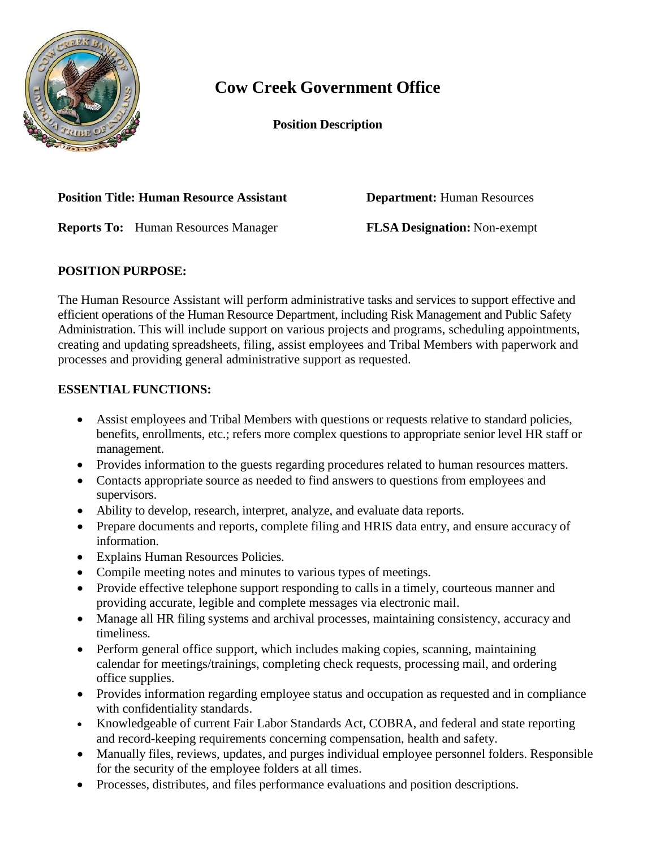

# **Cow Creek Government Office**

**Position Description**

#### **Position Title: Human Resource Assistant Department: Human Resources**

**Reports To:** Human Resources Manager **FLSA Designation:** Non-exempt

## **POSITION PURPOSE:**

The Human Resource Assistant will perform administrative tasks and services to support effective and efficient operations of the Human Resource Department, including Risk Management and Public Safety Administration. This will include support on various projects and programs, scheduling appointments, creating and updating spreadsheets, filing, assist employees and Tribal Members with paperwork and processes and providing general administrative support as requested.

## **ESSENTIAL FUNCTIONS:**

- Assist employees and Tribal Members with questions or requests relative to standard policies, benefits, enrollments, etc.; refers more complex questions to appropriate senior level HR staff or management.
- Provides information to the guests regarding procedures related to human resources matters.
- Contacts appropriate source as needed to find answers to questions from employees and supervisors.
- Ability to develop, research, interpret, analyze, and evaluate data reports.
- Prepare documents and reports, complete filing and HRIS data entry, and ensure accuracy of information.
- Explains Human Resources Policies.
- Compile meeting notes and minutes to various types of meetings.
- Provide effective telephone support responding to calls in a timely, courteous manner and providing accurate, legible and complete messages via electronic mail.
- Manage all HR filing systems and archival processes, maintaining consistency, accuracy and timeliness.
- Perform general office support, which includes making copies, scanning, maintaining calendar for meetings/trainings, completing check requests, processing mail, and ordering office supplies.
- Provides information regarding employee status and occupation as requested and in compliance with confidentiality standards.
- Knowledgeable of current Fair Labor Standards Act, COBRA, and federal and state reporting and record-keeping requirements concerning compensation, health and safety.
- Manually files, reviews, updates, and purges individual employee personnel folders. Responsible for the security of the employee folders at all times.
- Processes, distributes, and files performance evaluations and position descriptions.